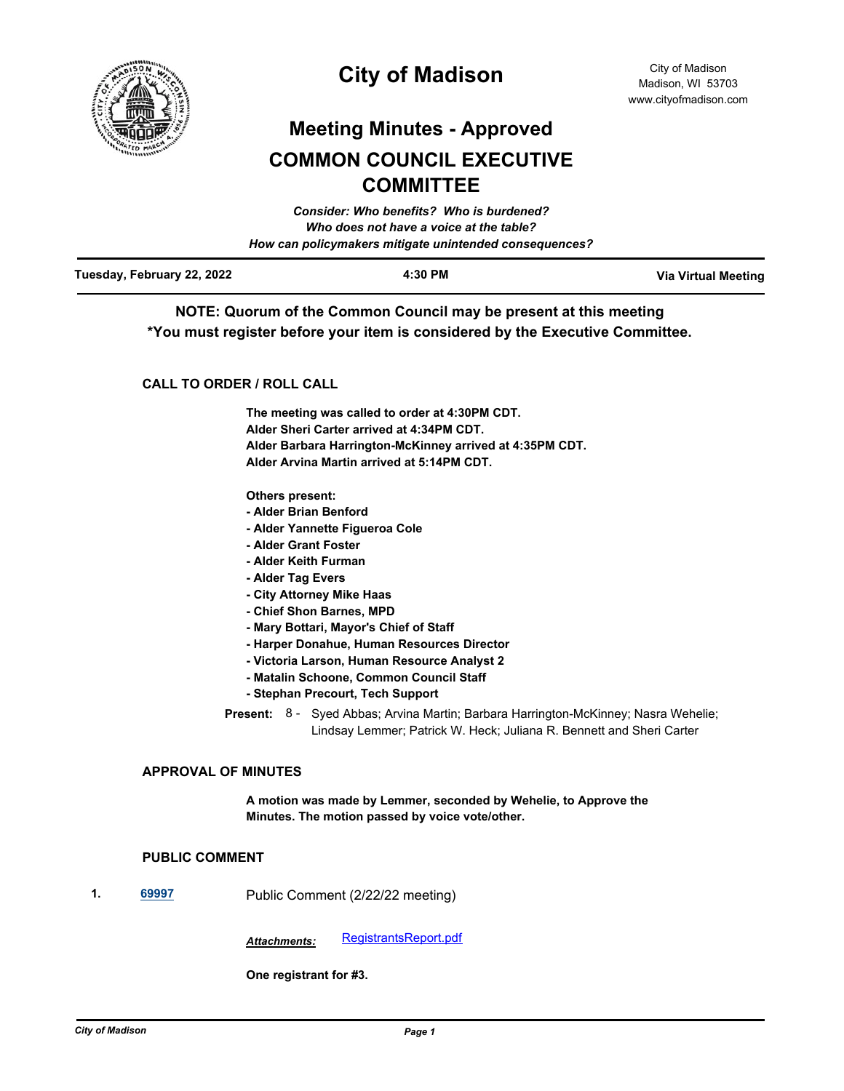

# **City of Madison**

# **Meeting Minutes - Approved COMMON COUNCIL EXECUTIVE COMMITTEE**

|                            | Consider: Who benefits? Who is burdened?               |                            |
|----------------------------|--------------------------------------------------------|----------------------------|
|                            | Who does not have a voice at the table?                |                            |
|                            | How can policymakers mitigate unintended consequences? |                            |
| Tuesday, February 22, 2022 | 4:30 PM                                                | <b>Via Virtual Meeting</b> |

**NOTE: Quorum of the Common Council may be present at this meeting \*You must register before your item is considered by the Executive Committee.**

## **CALL TO ORDER / ROLL CALL**

**The meeting was called to order at 4:30PM CDT. Alder Sheri Carter arrived at 4:34PM CDT. Alder Barbara Harrington-McKinney arrived at 4:35PM CDT. Alder Arvina Martin arrived at 5:14PM CDT.**

#### **Others present:**

- **Alder Brian Benford**
- **Alder Yannette Figueroa Cole**
- **Alder Grant Foster**
- **Alder Keith Furman**
- **Alder Tag Evers**
- **City Attorney Mike Haas**
- **Chief Shon Barnes, MPD**
- **Mary Bottari, Mayor's Chief of Staff**
- **Harper Donahue, Human Resources Director**
- **Victoria Larson, Human Resource Analyst 2**
- **Matalin Schoone, Common Council Staff**
- **Stephan Precourt, Tech Support**

### **APPROVAL OF MINUTES**

**A motion was made by Lemmer, seconded by Wehelie, to Approve the Minutes. The motion passed by voice vote/other.**

#### **PUBLIC COMMENT**

**1. [69997](http://madison.legistar.com/gateway.aspx?m=l&id=/matter.aspx?key=81236)** Public Comment (2/22/22 meeting)

Attachments: [RegistrantsReport.pdf](http://madison.legistar.com/gateway.aspx?M=F&ID=280ad870-1fde-461d-b413-c25fe4d8d091.pdf)

**One registrant for #3.**

Present: 8 - Syed Abbas; Arvina Martin; Barbara Harrington-McKinney; Nasra Wehelie; Lindsay Lemmer; Patrick W. Heck; Juliana R. Bennett and Sheri Carter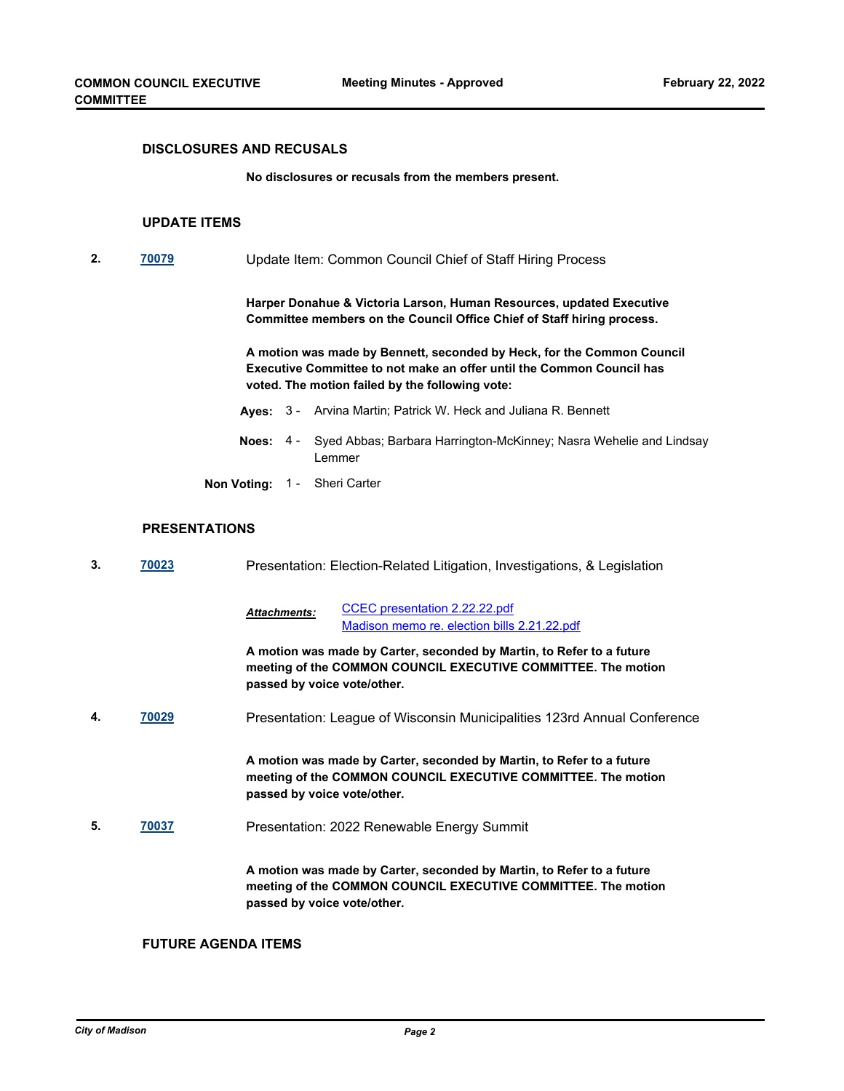#### **DISCLOSURES AND RECUSALS**

**No disclosures or recusals from the members present.**

#### **UPDATE ITEMS**

**2. [70079](http://madison.legistar.com/gateway.aspx?m=l&id=/matter.aspx?key=81264)** Update Item: Common Council Chief of Staff Hiring Process

**Harper Donahue & Victoria Larson, Human Resources, updated Executive Committee members on the Council Office Chief of Staff hiring process.**

**A motion was made by Bennett, seconded by Heck, for the Common Council Executive Committee to not make an offer until the Common Council has voted. The motion failed by the following vote:**

- **Ayes:** 3 Arvina Martin; Patrick W. Heck and Juliana R. Bennett
- Noes: 4 Syed Abbas; Barbara Harrington-McKinney; Nasra Wehelie and Lindsay Lemmer
- **Non Voting:** 1 Sheri Carter

#### **PRESENTATIONS**

| 3. | 70023 | Presentation: Election-Related Litigation, Investigations, & Legislation |                                                                                                                                        |
|----|-------|--------------------------------------------------------------------------|----------------------------------------------------------------------------------------------------------------------------------------|
|    |       | <b>Attachments:</b>                                                      | CCEC presentation 2.22.22.pdf<br>Madison memo re. election bills 2.21.22.pdf                                                           |
|    |       | passed by voice vote/other.                                              | A motion was made by Carter, seconded by Martin, to Refer to a future<br>meeting of the COMMON COUNCIL EXECUTIVE COMMITTEE. The motion |
| 4. | 70029 |                                                                          | Presentation: League of Wisconsin Municipalities 123rd Annual Conference                                                               |
|    |       | passed by voice vote/other.                                              | A motion was made by Carter, seconded by Martin, to Refer to a future<br>meeting of the COMMON COUNCIL EXECUTIVE COMMITTEE. The motion |
| 5. | 70037 |                                                                          | Presentation: 2022 Renewable Energy Summit                                                                                             |
|    |       | passed by voice vote/other.                                              | A motion was made by Carter, seconded by Martin, to Refer to a future<br>meeting of the COMMON COUNCIL EXECUTIVE COMMITTEE. The motion |

## **FUTURE AGENDA ITEMS**